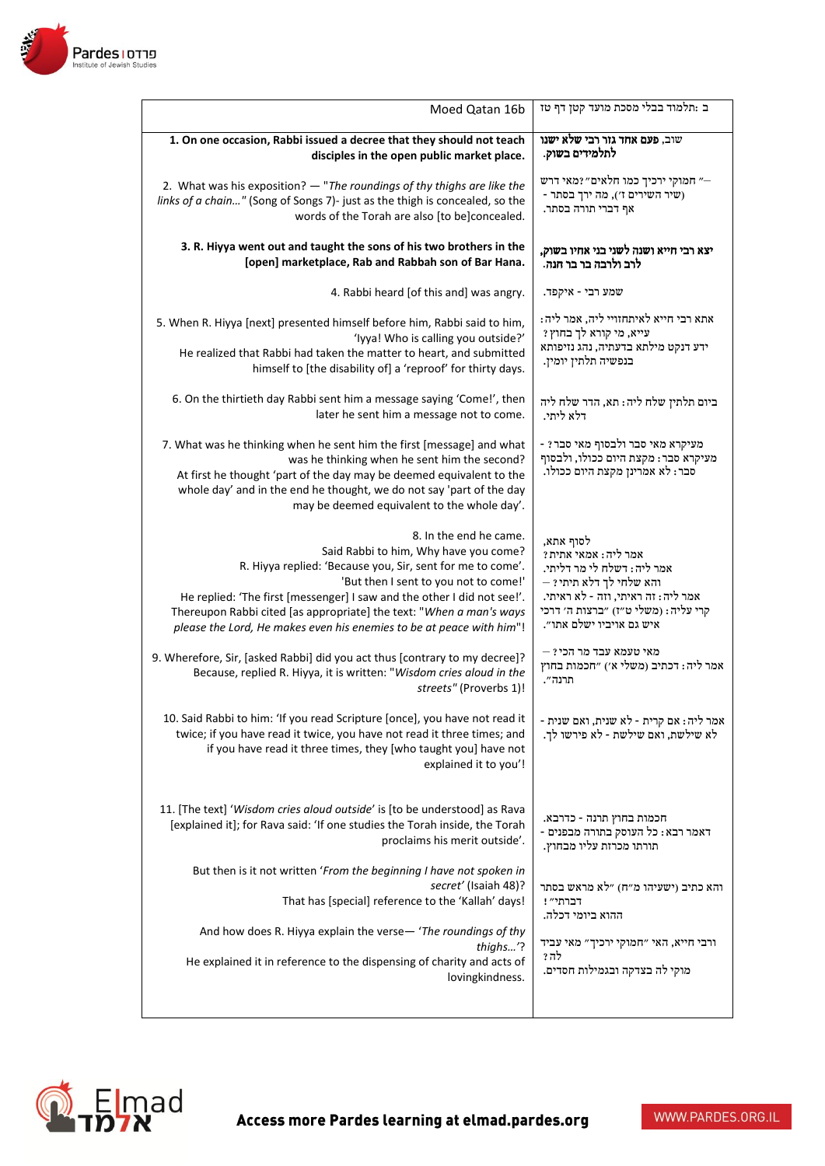

| Moed Qatan 16b                                                                                                                                                                                                                                                                                                       | ב :תלמוד בבלי מסכת מועד קטן דף טז                                                                           |
|----------------------------------------------------------------------------------------------------------------------------------------------------------------------------------------------------------------------------------------------------------------------------------------------------------------------|-------------------------------------------------------------------------------------------------------------|
| 1. On one occasion, Rabbi issued a decree that they should not teach                                                                                                                                                                                                                                                 | שוב, פעם אחד גזר רבי שלא ישנו                                                                               |
| disciples in the open public market place.                                                                                                                                                                                                                                                                           | לתלמידים בשוק.                                                                                              |
| 2. What was his exposition? - "The roundings of thy thighs are like the                                                                                                                                                                                                                                              | " חמוקי ירכיך כמו חלאים" ?מאי דרש                                                                           |
| links of a chain" (Song of Songs 7)- just as the thigh is concealed, so the                                                                                                                                                                                                                                          | - שיר השירים ז׳), מה ירך בסתר                                                                               |
| words of the Torah are also [to be]concealed.                                                                                                                                                                                                                                                                        | אף דברי תורה בסתר.                                                                                          |
| 3. R. Hiyya went out and taught the sons of his two brothers in the                                                                                                                                                                                                                                                  | יצא רבי חייא ושנה לשני בני אחיו בשוק,                                                                       |
| [open] marketplace, Rab and Rabbah son of Bar Hana.                                                                                                                                                                                                                                                                  | לרב ולרבה בר בר חנה.                                                                                        |
| 4. Rabbi heard [of this and] was angry.                                                                                                                                                                                                                                                                              | שמע רבי - איקפד.                                                                                            |
| 5. When R. Hiyya [next] presented himself before him, Rabbi said to him,                                                                                                                                                                                                                                             | אתא רבי חייא לאיתחזויי ליה, אמר ליה:                                                                        |
| 'Iyya! Who is calling you outside?'                                                                                                                                                                                                                                                                                  | עייא, מי קורא לך בחוץ?                                                                                      |
| He realized that Rabbi had taken the matter to heart, and submitted                                                                                                                                                                                                                                                  | ידע דנקט מילתא בדעתיה, נהג נזיפותא                                                                          |
| himself to [the disability of] a 'reproof' for thirty days.                                                                                                                                                                                                                                                          | בנפשיה תלתין יומין.                                                                                         |
| 6. On the thirtieth day Rabbi sent him a message saying 'Come!', then                                                                                                                                                                                                                                                | ביום תלתין שלח ליה: תא, הדר שלח ליה                                                                         |
| later he sent him a message not to come.                                                                                                                                                                                                                                                                             | דלא ליתי.                                                                                                   |
| 7. What was he thinking when he sent him the first [message] and what<br>was he thinking when he sent him the second?<br>At first he thought 'part of the day may be deemed equivalent to the<br>whole day' and in the end he thought, we do not say 'part of the day<br>may be deemed equivalent to the whole day'. | - 2 מעיקרא מאי סבר ולבסוף מאי סבר<br>מעיקרא סבר: מקצת היום ככולו, ולבסוף<br>סבר: לא אמרינן מקצת היום ככולו. |
| 8. In the end he came.                                                                                                                                                                                                                                                                                               | לסוף אתא,                                                                                                   |
| Said Rabbi to him, Why have you come?                                                                                                                                                                                                                                                                                | אמר ליה: אמאי אתית?                                                                                         |
| R. Hiyya replied: 'Because you, Sir, sent for me to come'.                                                                                                                                                                                                                                                           | אמר ליה: דשלח לי מר דליתי.                                                                                  |
| 'But then I sent to you not to come!'                                                                                                                                                                                                                                                                                | $-$ והא שלחי לך דלא תיתי                                                                                    |
| He replied: 'The first [messenger] I saw and the other I did not see!'.                                                                                                                                                                                                                                              | אמר ליה: זה ראיתי, וזה - לא ראיתי.                                                                          |
| Thereupon Rabbi cited [as appropriate] the text: "When a man's ways                                                                                                                                                                                                                                                  | קרי עליה: (משלי ט"ז) "ברצות ה' דרכי                                                                         |
| please the Lord, He makes even his enemies to be at peace with him"!                                                                                                                                                                                                                                                 | איש גם אויביו ישלם אתו״.                                                                                    |
| 9. Wherefore, Sir, [asked Rabbi] did you act thus [contrary to my decree]?                                                                                                                                                                                                                                           | מאי טעמא עבד מר הכי ? –                                                                                     |
| Because, replied R. Hiyya, it is written: "Wisdom cries aloud in the                                                                                                                                                                                                                                                 | אמר ליה: דכתיב (משלי א׳) ״חכמות בחוץ                                                                        |
| streets" (Proverbs 1)!                                                                                                                                                                                                                                                                                               | תרנה".                                                                                                      |
| 10. Said Rabbi to him: 'If you read Scripture [once], you have not read it<br>twice; if you have read it twice, you have not read it three times; and<br>if you have read it three times, they [who taught you] have not<br>explained it to you'!                                                                    | אמר ליה: אם קרית - לא שנית, ואם שנית -<br>לא שילשת, ואם שילשת - לא פירשו לך.                                |
| 11. [The text] 'Wisdom cries aloud outside' is [to be understood] as Rava                                                                                                                                                                                                                                            | חכמות בחוץ תרנה - כדרבא.                                                                                    |
| [explained it]; for Rava said: 'If one studies the Torah inside, the Torah                                                                                                                                                                                                                                           | דאמר רבא: כל העוסק בתורה מבפנים -                                                                           |
| proclaims his merit outside'.                                                                                                                                                                                                                                                                                        | תורתו מכרזת עליו מבחוץ.                                                                                     |
| But then is it not written 'From the beginning I have not spoken in                                                                                                                                                                                                                                                  | והא כתיב (ישעיהו מ״ח) ״לא מראש בסתר                                                                         |
| secret' (Isaiah 48)?                                                                                                                                                                                                                                                                                                 | דברתי"!                                                                                                     |
| That has [special] reference to the 'Kallah' days!                                                                                                                                                                                                                                                                   | ההוא ביומי דכלה.                                                                                            |
| And how does R. Hiyya explain the verse-'The roundings of thy<br>thighs'?<br>He explained it in reference to the dispensing of charity and acts of<br>lovingkindness.                                                                                                                                                | ורבי חייא, האי ״חמוקי ירכיך״ מאי עביד<br>לה ?<br>מוקי לה בצדקה ובגמילות חסדים.                              |
|                                                                                                                                                                                                                                                                                                                      |                                                                                                             |